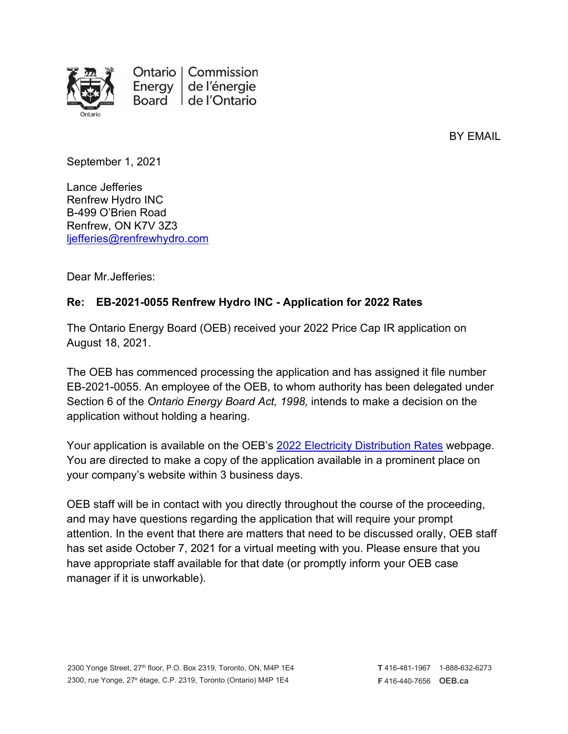

Ontario | Commission de l'énergie Energy Board de l'Ontario

BY EMAIL

September 1, 2021

Lance Jefferies Renfrew Hydro INC B-499 O'Brien Road Renfrew, ON K7V 3Z3 [ljefferies@renfrewhydro.com](mailto:ljefferies@renfrewhydro.com)

Dear Mr.Jefferies:

## **Re: EB-2021-0055 Renfrew Hydro INC - Application for 2022 Rates**

The Ontario Energy Board (OEB) received your 2022 Price Cap IR application on August 18, 2021.

The OEB has commenced processing the application and has assigned it file number EB-2021-0055. An employee of the OEB, to whom authority has been delegated under Section 6 of the *Ontario Energy Board Act, 1998,* intends to make a decision on the application without holding a hearing.

Your application is available on the OEB's 2022 [Electricity Distribution Rates](https://www.oeb.ca/industry/applications-oeb/electricity-distribution-rates/2022-electricity-distribution-rate) webpage. You are directed to make a copy of the application available in a prominent place on your company's website within 3 business days.

OEB staff will be in contact with you directly throughout the course of the proceeding, and may have questions regarding the application that will require your prompt attention. In the event that there are matters that need to be discussed orally, OEB staff has set aside October 7, 2021 for a virtual meeting with you. Please ensure that you have appropriate staff available for that date (or promptly inform your OEB case manager if it is unworkable).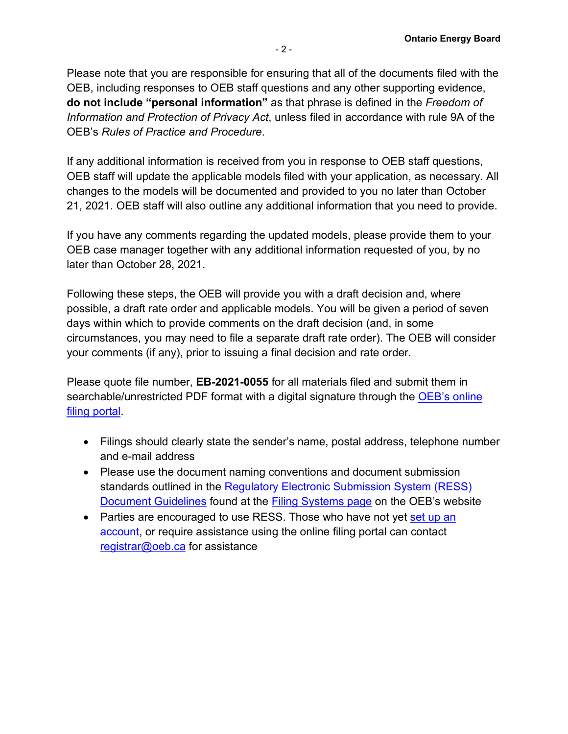Please note that you are responsible for ensuring that all of the documents filed with the OEB, including responses to OEB staff questions and any other supporting evidence, **do not include "personal information"** as that phrase is defined in the *Freedom of Information and Protection of Privacy Act*, unless filed in accordance with rule 9A of the OEB's *Rules of Practice and Procedure*.

If any additional information is received from you in response to OEB staff questions, OEB staff will update the applicable models filed with your application, as necessary. All changes to the models will be documented and provided to you no later than October 21, 2021. OEB staff will also outline any additional information that you need to provide.

If you have any comments regarding the updated models, please provide them to your OEB case manager together with any additional information requested of you, by no later than October 28, 2021.

Following these steps, the OEB will provide you with a draft decision and, where possible, a draft rate order and applicable models. You will be given a period of seven days within which to provide comments on the draft decision (and, in some circumstances, you may need to file a separate draft rate order). The OEB will consider your comments (if any), prior to issuing a final decision and rate order.

Please quote file number, **EB-2021-0055** for all materials filed and submit them in searchable/unrestricted PDF format with a digital signature through the [OEB's online](https://p-pes.ontarioenergyboard.ca/PivotalUX/)  [filing portal.](https://p-pes.ontarioenergyboard.ca/PivotalUX/)

- Filings should clearly state the sender's name, postal address, telephone number and e-mail address
- Please use the document naming conventions and document submission standards outlined in the [Regulatory Electronic Submission System \(RESS\)](https://www.oeb.ca/sites/default/files/RESS-Document-Guidelines-202006.pdf)  [Document Guidelines](https://www.oeb.ca/sites/default/files/RESS-Document-Guidelines-202006.pdf) found at the [Filing Systems page](https://www.oeb.ca/industry/tools-resources-and-links/filing-systems) on the OEB's website
- Parties are encouraged to use RESS. Those who have not yet set up an [account,](https://www.oeb.ca/oeb/_Documents/e-Filing/Electronic_User_Form.pdf?v=20200331) or require assistance using the online filing portal can contact [registrar@oeb.ca](mailto:registrar@oeb.ca) for assistance